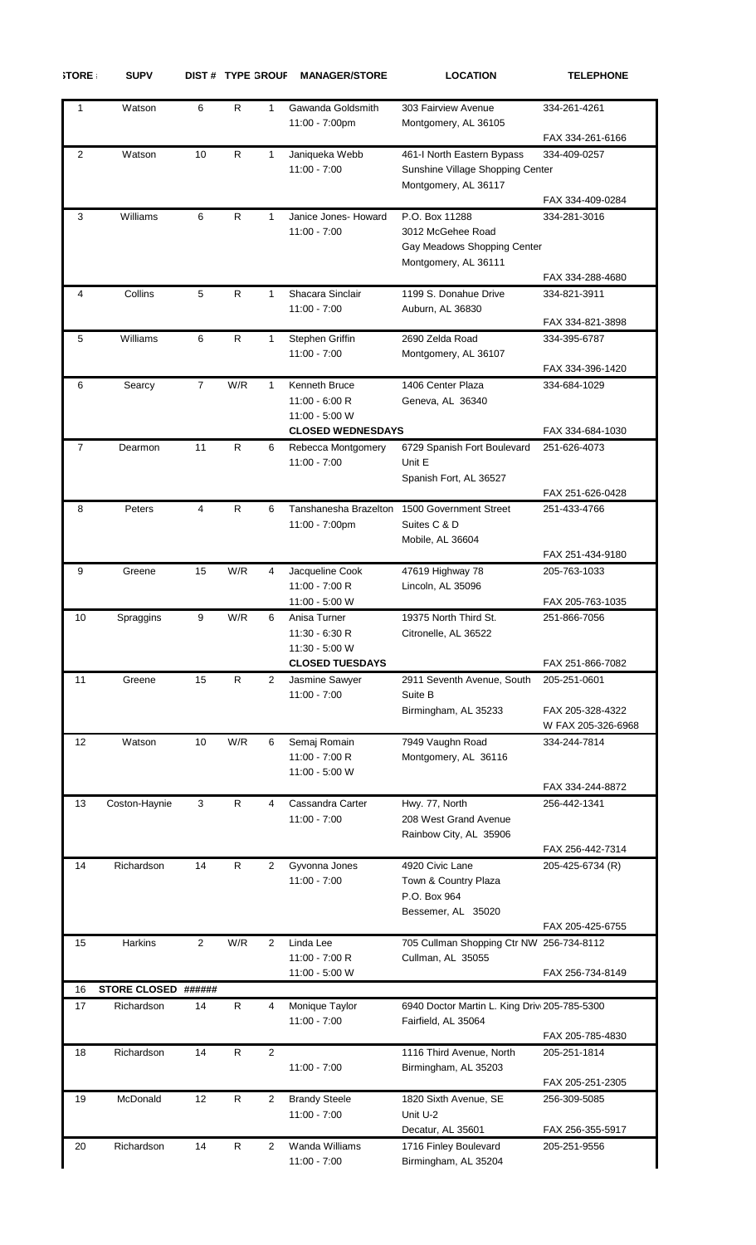|--|--|

 $SUPV$  **DIST #** TYPE GROUF MANAGER/STORE **LOCATION TELEPHONE** 

| 1                 | Watson              | 6            | R            | 1              | Gawanda Goldsmith<br>11:00 - 7:00pm                              | 303 Fairview Avenue<br>Montgomery, AL 36105                                                | 334-261-4261                         |
|-------------------|---------------------|--------------|--------------|----------------|------------------------------------------------------------------|--------------------------------------------------------------------------------------------|--------------------------------------|
|                   |                     |              |              |                |                                                                  |                                                                                            | FAX 334-261-6166                     |
| 2                 | Watson              | 10           | R            | 1              | Janiqueka Webb<br>$11:00 - 7:00$                                 | 461-I North Eastern Bypass<br>Sunshine Village Shopping Center<br>Montgomery, AL 36117     | 334-409-0257<br>FAX 334-409-0284     |
| 3                 | Williams            | 6            | R            | 1              | Janice Jones- Howard<br>$11:00 - 7:00$                           | P.O. Box 11288<br>3012 McGehee Road<br>Gay Meadows Shopping Center<br>Montgomery, AL 36111 | 334-281-3016                         |
|                   |                     |              |              |                |                                                                  |                                                                                            | FAX 334-288-4680                     |
| 4                 | Collins             | 5            | ${\sf R}$    | $\mathbf{1}$   | Shacara Sinclair<br>$11:00 - 7:00$                               | 1199 S. Donahue Drive<br>Auburn, AL 36830                                                  | 334-821-3911<br>FAX 334-821-3898     |
| 5                 | Williams            | 6            | $\mathsf{R}$ | 1              | Stephen Griffin<br>$11:00 - 7:00$                                | 2690 Zelda Road<br>Montgomery, AL 36107                                                    | 334-395-6787<br>FAX 334-396-1420     |
| 6                 | Searcy              | 7            | W/R          | 1              | Kenneth Bruce<br>$11:00 - 6:00 R$<br>11:00 - 5:00 W              | 1406 Center Plaza<br>Geneva, AL 36340                                                      | 334-684-1029                         |
| 7                 | Dearmon             | 11           | R            | 6              | <b>CLOSED WEDNESDAYS</b><br>Rebecca Montgomery<br>$11:00 - 7:00$ | 6729 Spanish Fort Boulevard<br>Unit E<br>Spanish Fort, AL 36527                            | FAX 334-684-1030<br>251-626-4073     |
|                   |                     |              |              |                |                                                                  |                                                                                            | FAX 251-626-0428                     |
| 8                 | Peters              | 4            | ${\sf R}$    | 6              | Tanshanesha Brazelton<br>11:00 - 7:00pm                          | 1500 Government Street<br>Suites C & D<br>Mobile, AL 36604                                 | 251-433-4766                         |
|                   |                     |              |              |                |                                                                  |                                                                                            | FAX 251-434-9180                     |
| 9                 | Greene              | 15           | W/R          | 4              | Jacqueline Cook<br>11:00 - 7:00 R                                | 47619 Highway 78<br>Lincoln, AL 35096                                                      | 205-763-1033                         |
| 10                | Spraggins           | 9            | W/R          | 6              | 11:00 - 5:00 W<br>Anisa Turner                                   | 19375 North Third St.                                                                      | FAX 205-763-1035<br>251-866-7056     |
|                   |                     |              |              |                | 11:30 - 6:30 R<br>$11:30 - 5:00$ W                               | Citronelle, AL 36522                                                                       |                                      |
| 11                | Greene              | 15           | R.           | 2              | <b>CLOSED TUESDAYS</b><br>Jasmine Sawyer                         | 2911 Seventh Avenue, South                                                                 | FAX 251-866-7082<br>205-251-0601     |
|                   |                     |              |              |                | $11:00 - 7:00$                                                   | Suite B<br>Birmingham, AL 35233                                                            | FAX 205-328-4322                     |
| $12 \overline{ }$ | Watson              | 10           | W/R          | 6              | Semaj Romain<br>11:00 - 7:00 R<br>11:00 - 5:00 W                 | 7949 Vaughn Road<br>Montgomery, AL 36116                                                   | W FAX 205-326-6968<br>334-244-7814   |
| 13                | Coston-Haynie       | 3            | R            | 4              | Cassandra Carter                                                 | Hwy. 77, North                                                                             | FAX 334-244-8872<br>256-442-1341     |
|                   |                     |              |              |                | $11:00 - 7:00$                                                   | 208 West Grand Avenue<br>Rainbow City, AL 35906                                            |                                      |
| 14                | Richardson          | 14           | R            | 2              | Gyvonna Jones                                                    | 4920 Civic Lane                                                                            | FAX 256-442-7314<br>205-425-6734 (R) |
|                   |                     |              |              |                | $11:00 - 7:00$                                                   | Town & Country Plaza<br>P.O. Box 964<br>Bessemer, AL 35020                                 | FAX 205-425-6755                     |
| 15                | Harkins             | $\mathbf{2}$ | W/R          | 2              | Linda Lee                                                        | 705 Cullman Shopping Ctr NW 256-734-8112                                                   |                                      |
|                   |                     |              |              |                | 11:00 - 7:00 R<br>11:00 - 5:00 W                                 | Cullman, AL 35055                                                                          | FAX 256-734-8149                     |
| 16                | STORE CLOSED ###### |              |              |                |                                                                  |                                                                                            |                                      |
| 17                | Richardson          | 14           | $\mathsf{R}$ | 4              | Monique Taylor<br>$11:00 - 7:00$                                 | 6940 Doctor Martin L. King Driv 205-785-5300<br>Fairfield, AL 35064                        | FAX 205-785-4830                     |
| 18                | Richardson          | 14           | R            | $\overline{2}$ | $11:00 - 7:00$                                                   | 1116 Third Avenue, North<br>Birmingham, AL 35203                                           | 205-251-1814<br>FAX 205-251-2305     |
| 19                | McDonald            | 12           | R            | 2              | <b>Brandy Steele</b><br>$11:00 - 7:00$                           | 1820 Sixth Avenue, SE<br>Unit U-2<br>Decatur, AL 35601                                     | 256-309-5085<br>FAX 256-355-5917     |
| 20                | Richardson          | 14           | $\mathsf{R}$ | $\overline{2}$ | Wanda Williams<br>$11:00 - 7:00$                                 | 1716 Finley Boulevard<br>Birmingham, AL 35204                                              | 205-251-9556                         |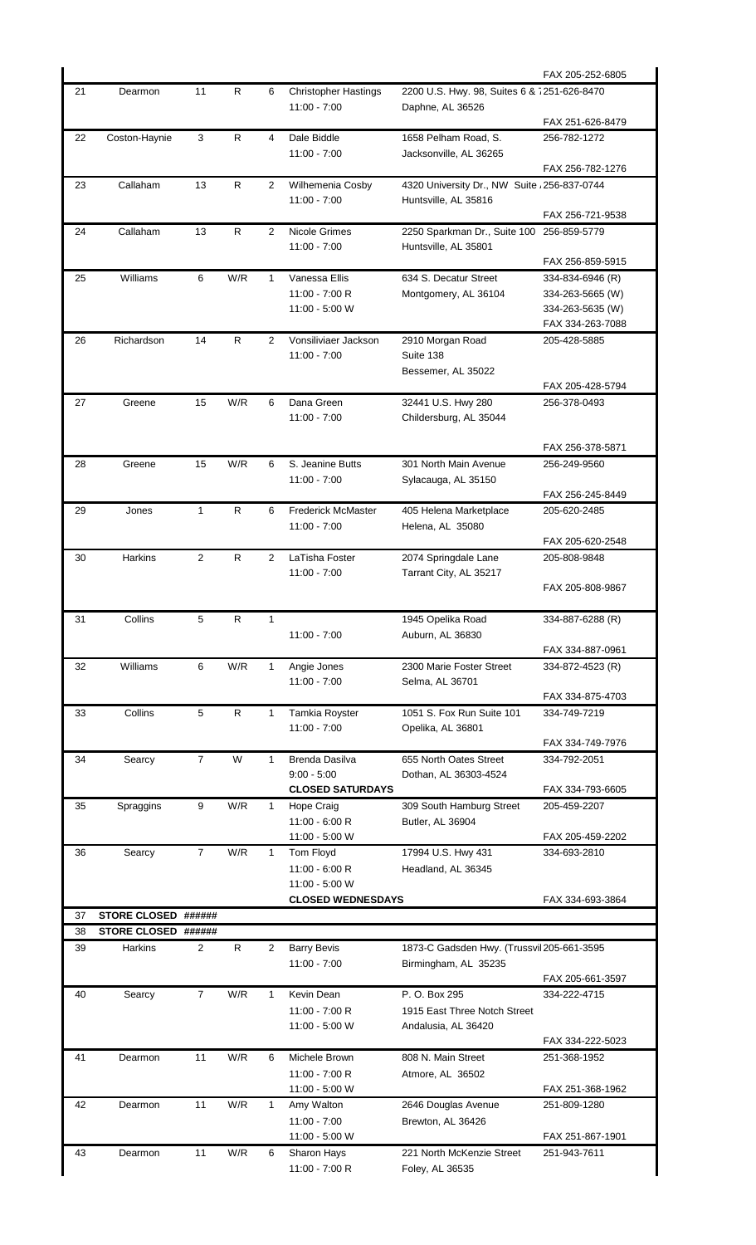|          |                                            |                  |              |                |                                    |                                              | FAX 205-252-6805                 |
|----------|--------------------------------------------|------------------|--------------|----------------|------------------------------------|----------------------------------------------|----------------------------------|
| 21       | Dearmon                                    | 11               | R            | 6              | <b>Christopher Hastings</b>        | 2200 U.S. Hwy. 98, Suites 6 & 7251-626-8470  |                                  |
|          |                                            |                  |              |                | $11:00 - 7:00$                     | Daphne, AL 36526                             |                                  |
| 22       |                                            | 3                | R            | 4              | Dale Biddle                        | 1658 Pelham Road, S.                         | FAX 251-626-8479<br>256-782-1272 |
|          | Coston-Haynie                              |                  |              |                | $11:00 - 7:00$                     | Jacksonville, AL 36265                       |                                  |
|          |                                            |                  |              |                |                                    |                                              | FAX 256-782-1276                 |
| 23       | Callaham                                   | 13               | R            | 2              | Wilhemenia Cosby                   | 4320 University Dr., NW Suite , 256-837-0744 |                                  |
|          |                                            |                  |              |                | $11:00 - 7:00$                     | Huntsville, AL 35816                         |                                  |
|          |                                            |                  |              |                |                                    |                                              | FAX 256-721-9538                 |
| 24       | Callaham                                   | 13               | $\mathsf{R}$ | $\overline{2}$ | Nicole Grimes                      | 2250 Sparkman Dr., Suite 100                 | 256-859-5779                     |
|          |                                            |                  |              |                | $11:00 - 7:00$                     | Huntsville, AL 35801                         | FAX 256-859-5915                 |
| 25       | Williams                                   | $\,6\,$          | W/R          | $\mathbf{1}$   | Vanessa Ellis                      | 634 S. Decatur Street                        | 334-834-6946 (R)                 |
|          |                                            |                  |              |                | 11:00 - 7:00 R                     | Montgomery, AL 36104                         | 334-263-5665 (W)                 |
|          |                                            |                  |              |                | 11:00 - 5:00 W                     |                                              | 334-263-5635 (W)                 |
|          |                                            |                  |              |                |                                    |                                              | FAX 334-263-7088                 |
| 26       | Richardson                                 | 14               | $\mathsf{R}$ | $\overline{2}$ | Vonsiliviaer Jackson               | 2910 Morgan Road                             | 205-428-5885                     |
|          |                                            |                  |              |                | $11:00 - 7:00$                     | Suite 138<br>Bessemer, AL 35022              |                                  |
|          |                                            |                  |              |                |                                    |                                              | FAX 205-428-5794                 |
| 27       | Greene                                     | 15               | W/R          | 6              | Dana Green                         | 32441 U.S. Hwy 280                           | 256-378-0493                     |
|          |                                            |                  |              |                | $11:00 - 7:00$                     | Childersburg, AL 35044                       |                                  |
|          |                                            |                  |              |                |                                    |                                              |                                  |
|          |                                            |                  |              |                |                                    |                                              | FAX 256-378-5871                 |
| 28       | Greene                                     | 15               | W/R          | 6              | S. Jeanine Butts<br>$11:00 - 7:00$ | 301 North Main Avenue                        | 256-249-9560                     |
|          |                                            |                  |              |                |                                    | Sylacauga, AL 35150                          | FAX 256-245-8449                 |
| 29       | Jones                                      | 1                | R            | 6              | <b>Frederick McMaster</b>          | 405 Helena Marketplace                       | 205-620-2485                     |
|          |                                            |                  |              |                | $11:00 - 7:00$                     | Helena, AL 35080                             |                                  |
|          |                                            |                  |              |                |                                    |                                              | FAX 205-620-2548                 |
| 30       | Harkins                                    | 2                | R            | 2              | LaTisha Foster                     | 2074 Springdale Lane                         | 205-808-9848                     |
|          |                                            |                  |              |                | $11:00 - 7:00$                     | Tarrant City, AL 35217                       |                                  |
|          |                                            |                  |              |                |                                    |                                              | FAX 205-808-9867                 |
| 31       | Collins                                    | 5                | R            | 1              |                                    | 1945 Opelika Road                            | 334-887-6288 (R)                 |
|          |                                            |                  |              |                | $11:00 - 7:00$                     | Auburn, AL 36830                             |                                  |
|          |                                            |                  |              |                |                                    |                                              | FAX 334-887-0961                 |
| 32       | Williams                                   | 6                | W/R          | 1              | Angie Jones                        | 2300 Marie Foster Street                     | 334-872-4523 (R)                 |
|          |                                            |                  |              |                | $11:00 - 7:00$                     | Selma, AL 36701                              | FAX 334-875-4703                 |
| 33       | Collins                                    | 5                | R            | 1              | Tamkia Royster                     | 1051 S. Fox Run Suite 101                    | 334-749-7219                     |
|          |                                            |                  |              |                | $11:00 - 7:00$                     | Opelika, AL 36801                            |                                  |
|          |                                            |                  |              |                |                                    |                                              | FAX 334-749-7976                 |
| 34       | Searcy                                     | $\overline{7}$   | W            | 1              | <b>Brenda Dasilva</b>              | 655 North Oates Street                       | 334-792-2051                     |
|          |                                            |                  |              |                | $9:00 - 5:00$                      | Dothan, AL 36303-4524                        |                                  |
|          |                                            |                  |              |                | <b>CLOSED SATURDAYS</b>            |                                              | FAX 334-793-6605                 |
| 35       | Spraggins                                  | 9                | W/R          | $\mathbf{1}$   | Hope Craig<br>$11:00 - 6:00 R$     | 309 South Hamburg Street<br>Butler, AL 36904 | 205-459-2207                     |
|          |                                            |                  |              |                | 11:00 - 5:00 W                     |                                              | FAX 205-459-2202                 |
| 36       | Searcy                                     | $\overline{7}$   | W/R          | $\mathbf 1$    | Tom Floyd                          | 17994 U.S. Hwy 431                           | 334-693-2810                     |
|          |                                            |                  |              |                | $11:00 - 6:00 R$                   | Headland, AL 36345                           |                                  |
|          |                                            |                  |              |                | 11:00 - 5:00 W                     |                                              |                                  |
|          |                                            |                  |              |                | <b>CLOSED WEDNESDAYS</b>           |                                              | FAX 334-693-3864                 |
| 37<br>38 | STORE CLOSED ######<br>STORE CLOSED ###### |                  |              |                |                                    |                                              |                                  |
| 39       | Harkins                                    | 2                | R            | 2              | <b>Barry Bevis</b>                 | 1873-C Gadsden Hwy. (Trussvil 205-661-3595   |                                  |
|          |                                            |                  |              |                | $11:00 - 7:00$                     | Birmingham, AL 35235                         |                                  |
|          |                                            |                  |              |                |                                    |                                              | FAX 205-661-3597                 |
| 40       | Searcy                                     | $\boldsymbol{7}$ | W/R          | 1              | Kevin Dean                         | P. O. Box 295                                | 334-222-4715                     |
|          |                                            |                  |              |                | 11:00 - 7:00 R                     | 1915 East Three Notch Street                 |                                  |
|          |                                            |                  |              |                | 11:00 - 5:00 W                     | Andalusia, AL 36420                          | FAX 334-222-5023                 |
| 41       | Dearmon                                    | 11               | W/R          | 6              | Michele Brown                      | 808 N. Main Street                           | 251-368-1952                     |
|          |                                            |                  |              |                | 11:00 - 7:00 R                     | Atmore, AL 36502                             |                                  |
|          |                                            |                  |              |                | 11:00 - 5:00 W                     |                                              | FAX 251-368-1962                 |
| 42       | Dearmon                                    | 11               | W/R          | 1              | Amy Walton                         | 2646 Douglas Avenue                          | 251-809-1280                     |
|          |                                            |                  |              |                | $11:00 - 7:00$                     | Brewton, AL 36426                            |                                  |
|          |                                            |                  |              |                | 11:00 - 5:00 W                     |                                              | FAX 251-867-1901                 |
| 43       | Dearmon                                    | 11               | W/R          | 6              | Sharon Hays                        | 221 North McKenzie Street                    | 251-943-7611                     |
|          |                                            |                  |              |                | 11:00 - 7:00 R                     | Foley, AL 36535                              |                                  |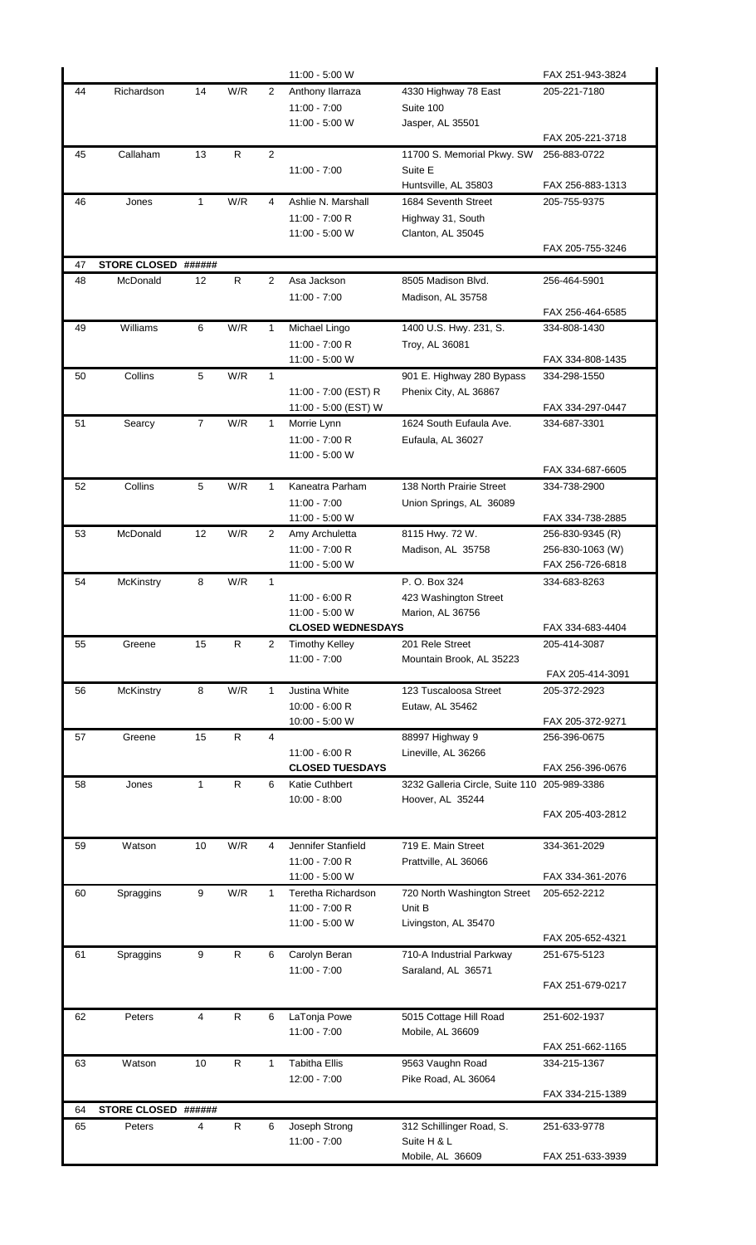|    |                     |                |              |              | 11:00 - 5:00 W                       |                                              | FAX 251-943-3824 |
|----|---------------------|----------------|--------------|--------------|--------------------------------------|----------------------------------------------|------------------|
| 44 | Richardson          | 14             | W/R          | 2            | Anthony Ilarraza                     | 4330 Highway 78 East                         | 205-221-7180     |
|    |                     |                |              |              | $11:00 - 7:00$                       | Suite 100                                    |                  |
|    |                     |                |              |              | 11:00 - 5:00 W                       | Jasper, AL 35501                             | FAX 205-221-3718 |
| 45 | Callaham            | 13             | R            | 2            |                                      | 11700 S. Memorial Pkwy. SW                   | 256-883-0722     |
|    |                     |                |              |              | $11:00 - 7:00$                       | Suite E                                      |                  |
|    |                     |                |              |              |                                      | Huntsville, AL 35803                         | FAX 256-883-1313 |
| 46 | Jones               | $\mathbf{1}$   | W/R          | 4            | Ashlie N. Marshall                   | 1684 Seventh Street                          | 205-755-9375     |
|    |                     |                |              |              | 11:00 - 7:00 R                       | Highway 31, South                            |                  |
|    |                     |                |              |              | 11:00 - 5:00 W                       | Clanton, AL 35045                            |                  |
|    |                     |                |              |              |                                      |                                              | FAX 205-755-3246 |
| 47 | STORE CLOSED ###### |                |              |              |                                      |                                              |                  |
| 48 | McDonald            | 12             | R.           | 2            | Asa Jackson<br>11:00 - 7:00          | 8505 Madison Blvd.<br>Madison, AL 35758      | 256-464-5901     |
|    |                     |                |              |              |                                      |                                              | FAX 256-464-6585 |
| 49 | Williams            | 6              | W/R          | 1            | Michael Lingo                        | 1400 U.S. Hwy. 231, S.                       | 334-808-1430     |
|    |                     |                |              |              | 11:00 - 7:00 R                       | Troy, AL 36081                               |                  |
|    |                     |                |              |              | 11:00 - 5:00 W                       |                                              | FAX 334-808-1435 |
| 50 | Collins             | 5              | W/R          | $\mathbf{1}$ |                                      | 901 E. Highway 280 Bypass                    | 334-298-1550     |
|    |                     |                |              |              | 11:00 - 7:00 (EST) R                 | Phenix City, AL 36867                        |                  |
|    |                     |                |              |              | 11:00 - 5:00 (EST) W                 |                                              | FAX 334-297-0447 |
| 51 | Searcy              | $\overline{7}$ | W/R          | 1            | Morrie Lynn                          | 1624 South Eufaula Ave.                      | 334-687-3301     |
|    |                     |                |              |              | 11:00 - 7:00 R<br>11:00 - 5:00 W     | Eufaula, AL 36027                            |                  |
|    |                     |                |              |              |                                      |                                              | FAX 334-687-6605 |
| 52 | Collins             | 5              | W/R          | $\mathbf{1}$ | Kaneatra Parham                      | 138 North Prairie Street                     | 334-738-2900     |
|    |                     |                |              |              | $11:00 - 7:00$                       | Union Springs, AL 36089                      |                  |
|    |                     |                |              |              | 11:00 - 5:00 W                       |                                              | FAX 334-738-2885 |
| 53 | McDonald            | 12             | W/R          | 2            | Amy Archuletta                       | 8115 Hwy. 72 W.                              | 256-830-9345 (R) |
|    |                     |                |              |              | 11:00 - 7:00 R                       | Madison, AL 35758                            | 256-830-1063 (W) |
|    |                     |                |              |              | 11:00 - 5:00 W                       |                                              | FAX 256-726-6818 |
| 54 | <b>McKinstry</b>    | 8              | W/R          | 1            | $11:00 - 6:00 R$                     | P. O. Box 324                                | 334-683-8263     |
|    |                     |                |              |              | 11:00 - 5:00 W                       | 423 Washington Street<br>Marion, AL 36756    |                  |
|    |                     |                |              |              |                                      |                                              |                  |
|    |                     |                |              |              | <b>CLOSED WEDNESDAYS</b>             |                                              | FAX 334-683-4404 |
| 55 | Greene              | 15             | R.           | 2            | <b>Timothy Kelley</b>                | 201 Rele Street                              | 205-414-3087     |
|    |                     |                |              |              | $11:00 - 7:00$                       | Mountain Brook, AL 35223                     |                  |
|    |                     |                |              |              |                                      |                                              | FAX 205-414-3091 |
| 56 | McKinstry           | 8              | W/R          | 1            | Justina White                        | 123 Tuscaloosa Street                        | 205-372-2923     |
|    |                     |                |              |              | $10:00 - 6:00 R$                     | Eutaw, AL 35462                              |                  |
|    |                     |                |              | 4            | 10:00 - 5:00 W                       |                                              | FAX 205-372-9271 |
| 57 | Greene              | 15             | R            |              | $11:00 - 6:00 R$                     | 88997 Highway 9<br>Lineville, AL 36266       | 256-396-0675     |
|    |                     |                |              |              | <b>CLOSED TUESDAYS</b>               |                                              | FAX 256-396-0676 |
| 58 | Jones               | $\mathbf{1}$   | R            | 6            | Katie Cuthbert                       | 3232 Galleria Circle, Suite 110 205-989-3386 |                  |
|    |                     |                |              |              | $10:00 - 8:00$                       | Hoover, AL 35244                             |                  |
|    |                     |                |              |              |                                      |                                              | FAX 205-403-2812 |
|    |                     |                |              |              |                                      |                                              |                  |
| 59 | Watson              | 10             | W/R          | 4            | Jennifer Stanfield<br>11:00 - 7:00 R | 719 E. Main Street                           | 334-361-2029     |
|    |                     |                |              |              | 11:00 - 5:00 W                       | Prattville, AL 36066                         | FAX 334-361-2076 |
| 60 | Spraggins           | 9              | W/R          | $\mathbf{1}$ | Teretha Richardson                   | 720 North Washington Street                  | 205-652-2212     |
|    |                     |                |              |              | 11:00 - 7:00 R                       | Unit B                                       |                  |
|    |                     |                |              |              | 11:00 - 5:00 W                       | Livingston, AL 35470                         |                  |
|    |                     |                |              |              |                                      |                                              | FAX 205-652-4321 |
| 61 | Spraggins           | 9              | $\mathsf{R}$ | 6            | Carolyn Beran<br>$11:00 - 7:00$      | 710-A Industrial Parkway                     | 251-675-5123     |
|    |                     |                |              |              |                                      | Saraland, AL 36571                           | FAX 251-679-0217 |
|    |                     |                |              |              |                                      |                                              |                  |
| 62 | Peters              | 4              | R            | 6            | LaTonja Powe                         | 5015 Cottage Hill Road                       | 251-602-1937     |
|    |                     |                |              |              | $11:00 - 7:00$                       | Mobile, AL 36609                             |                  |
|    |                     |                |              |              |                                      |                                              | FAX 251-662-1165 |
| 63 | Watson              | 10             | $\mathsf{R}$ | 1            | <b>Tabitha Ellis</b>                 | 9563 Vaughn Road                             | 334-215-1367     |
|    |                     |                |              |              | $12:00 - 7:00$                       | Pike Road, AL 36064                          | FAX 334-215-1389 |
| 64 | <b>STORE CLOSED</b> | ######         |              |              |                                      |                                              |                  |
| 65 | Peters              | 4              | R            | 6            | Joseph Strong                        | 312 Schillinger Road, S.                     | 251-633-9778     |
|    |                     |                |              |              | $11:00 - 7:00$                       | Suite H & L                                  |                  |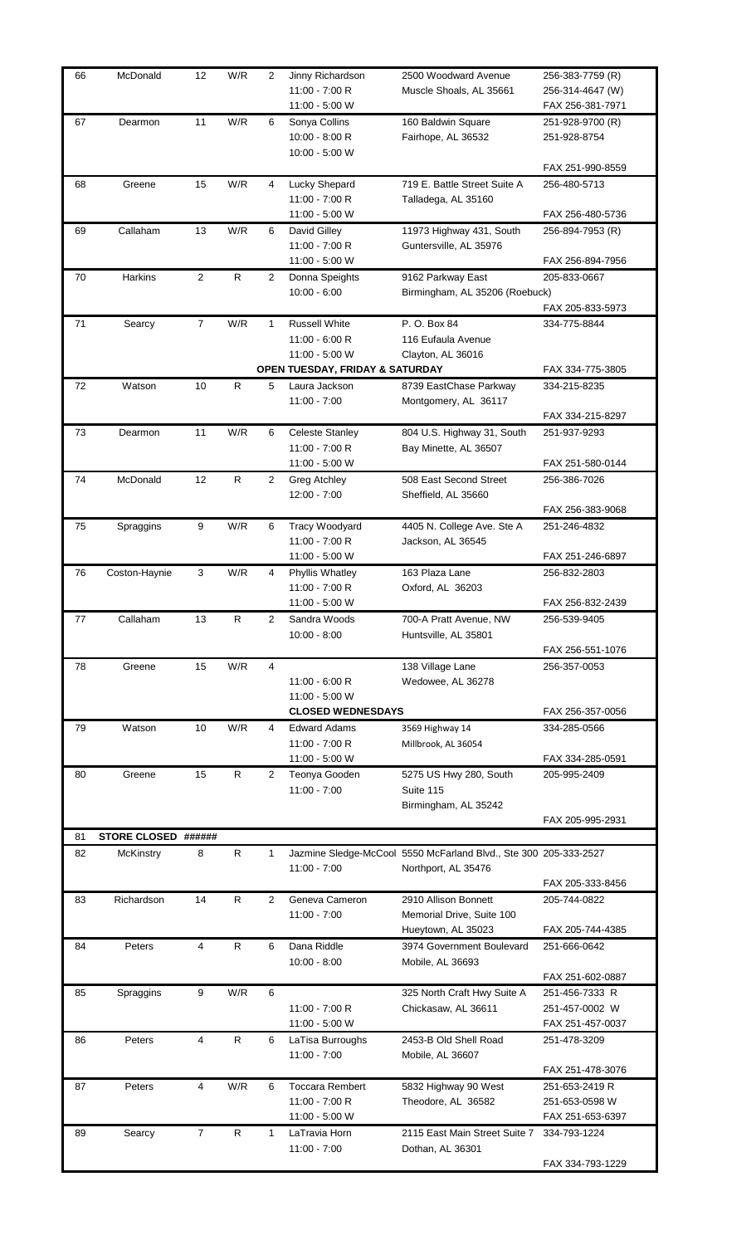| 66 | McDonald            | 12             | W/R          | 2              | Jinny Richardson                | 2500 Woodward Avenue                                             | 256-383-7759 (R) |
|----|---------------------|----------------|--------------|----------------|---------------------------------|------------------------------------------------------------------|------------------|
|    |                     |                |              |                | 11:00 - 7:00 R                  | Muscle Shoals, AL 35661                                          | 256-314-4647 (W) |
|    |                     |                |              |                | 11:00 - 5:00 W                  |                                                                  | FAX 256-381-7971 |
| 67 | Dearmon             | 11             | W/R          | 6              | Sonya Collins                   | 160 Baldwin Square                                               | 251-928-9700 (R) |
|    |                     |                |              |                | $10:00 - 8:00 R$                | Fairhope, AL 36532                                               | 251-928-8754     |
|    |                     |                |              |                | 10:00 - 5:00 W                  |                                                                  |                  |
|    |                     |                |              |                |                                 |                                                                  | FAX 251-990-8559 |
|    |                     |                |              |                |                                 |                                                                  |                  |
| 68 | Greene              | 15             | W/R          | 4              | Lucky Shepard                   | 719 E. Battle Street Suite A                                     | 256-480-5713     |
|    |                     |                |              |                | 11:00 - 7:00 R                  | Talladega, AL 35160                                              |                  |
|    |                     |                |              |                | 11:00 - 5:00 W                  |                                                                  | FAX 256-480-5736 |
| 69 | Callaham            | 13             | W/R          | 6              | David Gilley                    | 11973 Highway 431, South                                         | 256-894-7953 (R) |
|    |                     |                |              |                | 11:00 - 7:00 R                  | Guntersville, AL 35976                                           |                  |
|    |                     |                |              |                | 11:00 - 5:00 W                  |                                                                  | FAX 256-894-7956 |
| 70 | Harkins             | $\overline{2}$ | ${\sf R}$    | 2              | Donna Speights                  | 9162 Parkway East                                                | 205-833-0667     |
|    |                     |                |              |                | $10:00 - 6:00$                  | Birmingham, AL 35206 (Roebuck)                                   |                  |
|    |                     |                |              |                |                                 |                                                                  | FAX 205-833-5973 |
| 71 | Searcy              | $\overline{7}$ | W/R          | 1              | <b>Russell White</b>            | P. O. Box 84                                                     | 334-775-8844     |
|    |                     |                |              |                | $11:00 - 6:00 R$                | 116 Eufaula Avenue                                               |                  |
|    |                     |                |              |                | 11:00 - 5:00 W                  | Clayton, AL 36016                                                |                  |
|    |                     |                |              |                | OPEN TUESDAY, FRIDAY & SATURDAY |                                                                  | FAX 334-775-3805 |
| 72 | Watson              | 10             | R            | 5              | Laura Jackson                   | 8739 EastChase Parkway                                           | 334-215-8235     |
|    |                     |                |              |                | $11:00 - 7:00$                  | Montgomery, AL 36117                                             |                  |
|    |                     |                |              |                |                                 |                                                                  |                  |
|    |                     |                |              |                |                                 |                                                                  | FAX 334-215-8297 |
| 73 | Dearmon             | 11             | W/R          | 6              | <b>Celeste Stanley</b>          | 804 U.S. Highway 31, South                                       | 251-937-9293     |
|    |                     |                |              |                | 11:00 - 7:00 R                  | Bay Minette, AL 36507                                            |                  |
|    |                     |                |              |                | 11:00 - 5:00 W                  |                                                                  | FAX 251-580-0144 |
| 74 | McDonald            | 12             | R            | $\overline{c}$ | Greg Atchley                    | 508 East Second Street                                           | 256-386-7026     |
|    |                     |                |              |                | $12:00 - 7:00$                  | Sheffield, AL 35660                                              |                  |
|    |                     |                |              |                |                                 |                                                                  | FAX 256-383-9068 |
| 75 | Spraggins           | 9              | W/R          | 6              | Tracy Woodyard                  | 4405 N. College Ave. Ste A                                       | 251-246-4832     |
|    |                     |                |              |                | 11:00 - 7:00 R                  | Jackson, AL 36545                                                |                  |
|    |                     |                |              |                | 11:00 - 5:00 W                  |                                                                  | FAX 251-246-6897 |
| 76 | Coston-Haynie       | 3              | W/R          | 4              | Phyllis Whatley                 | 163 Plaza Lane                                                   | 256-832-2803     |
|    |                     |                |              |                | 11:00 - 7:00 R                  | Oxford, AL 36203                                                 |                  |
|    |                     |                |              |                | 11:00 - 5:00 W                  |                                                                  | FAX 256-832-2439 |
|    |                     |                | R            |                |                                 |                                                                  |                  |
| 77 | Callaham            | 13             |              | 2              | Sandra Woods                    | 700-A Pratt Avenue, NW                                           | 256-539-9405     |
|    |                     |                |              |                | $10:00 - 8:00$                  | Huntsville, AL 35801                                             |                  |
|    |                     |                |              |                |                                 |                                                                  | FAX 256-551-1076 |
| 78 | Greene              | 15             | W/R          | 4              |                                 | 138 Village Lane                                                 | 256-357-0053     |
|    |                     |                |              |                | $11:00 - 6:00 R$                | Wedowee, AL 36278                                                |                  |
|    |                     |                |              |                | 11:00 - 5:00 W                  |                                                                  |                  |
|    |                     |                |              |                | <b>CLOSED WEDNESDAYS</b>        |                                                                  | FAX 256-357-0056 |
| 79 | Watson              | 10             | W/R          | 4              | <b>Edward Adams</b>             | 3569 Highway 14                                                  | 334-285-0566     |
|    |                     |                |              |                | 11:00 - 7:00 R                  | Millbrook, AL 36054                                              |                  |
|    |                     |                |              |                | 11:00 - 5:00 W                  |                                                                  | FAX 334-285-0591 |
| 80 | Greene              | 15             | $\mathsf{R}$ | 2              | Teonya Gooden                   | 5275 US Hwy 280, South                                           | 205-995-2409     |
|    |                     |                |              |                | $11:00 - 7:00$                  | Suite 115                                                        |                  |
|    |                     |                |              |                |                                 | Birmingham, AL 35242                                             |                  |
|    |                     |                |              |                |                                 |                                                                  | FAX 205-995-2931 |
| 81 | STORE CLOSED ###### |                |              |                |                                 |                                                                  |                  |
| 82 | McKinstry           | 8              | R            | 1              |                                 | Jazmine Sledge-McCool 5550 McFarland Blvd., Ste 300 205-333-2527 |                  |
|    |                     |                |              |                | $11:00 - 7:00$                  | Northport, AL 35476                                              |                  |
|    |                     |                |              |                |                                 |                                                                  | FAX 205-333-8456 |
|    |                     |                |              |                |                                 |                                                                  |                  |
| 83 | Richardson          | 14             | R            | 2              | Geneva Cameron                  | 2910 Allison Bonnett                                             | 205-744-0822     |
|    |                     |                |              |                | $11:00 - 7:00$                  | Memorial Drive, Suite 100                                        |                  |
|    |                     |                |              |                |                                 | Hueytown, AL 35023                                               | FAX 205-744-4385 |
| 84 | Peters              | $\overline{4}$ | R            | 6              | Dana Riddle                     | 3974 Government Boulevard                                        | 251-666-0642     |
|    |                     |                |              |                | $10:00 - 8:00$                  | Mobile, AL 36693                                                 |                  |
|    |                     |                |              |                |                                 |                                                                  | FAX 251-602-0887 |
| 85 | Spraggins           | 9              | W/R          | 6              |                                 | 325 North Craft Hwy Suite A                                      | 251-456-7333 R   |
|    |                     |                |              |                | 11:00 - 7:00 R                  | Chickasaw, AL 36611                                              | 251-457-0002 W   |
|    |                     |                |              |                | 11:00 - 5:00 W                  |                                                                  | FAX 251-457-0037 |
| 86 | Peters              | 4              | R            | 6              | LaTisa Burroughs                | 2453-B Old Shell Road                                            | 251-478-3209     |
|    |                     |                |              |                | $11:00 - 7:00$                  | Mobile, AL 36607                                                 |                  |
|    |                     |                |              |                |                                 |                                                                  | FAX 251-478-3076 |
| 87 |                     | $\overline{4}$ | W/R          |                | <b>Toccara Rembert</b>          |                                                                  |                  |
|    | Peters              |                |              | 6              |                                 | 5832 Highway 90 West                                             | 251-653-2419 R   |
|    |                     |                |              |                | 11:00 - 7:00 R                  | Theodore, AL 36582                                               | 251-653-0598 W   |
|    |                     |                |              |                |                                 |                                                                  |                  |
|    |                     |                |              |                | 11:00 - 5:00 W                  |                                                                  | FAX 251-653-6397 |
| 89 | Searcy              | $\overline{7}$ | R            | 1              | LaTravia Horn                   | 2115 East Main Street Suite 7                                    | 334-793-1224     |
|    |                     |                |              |                | $11:00 - 7:00$                  | Dothan, AL 36301                                                 | FAX 334-793-1229 |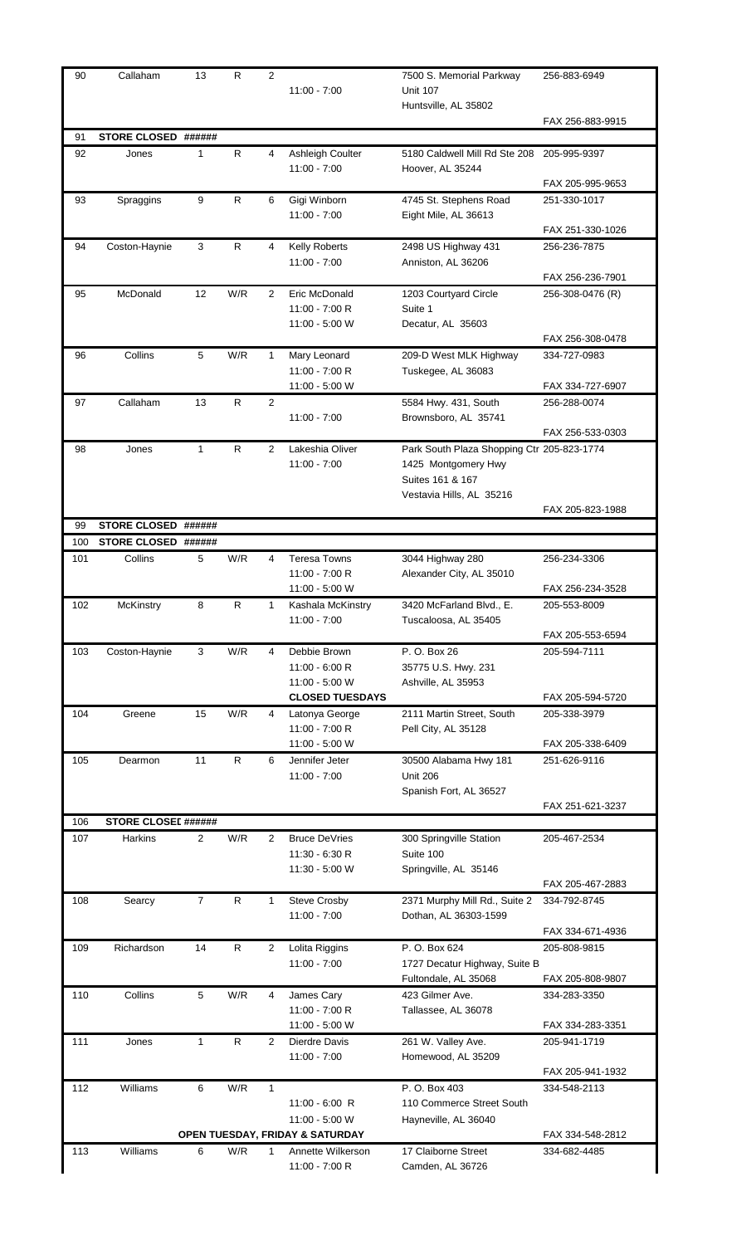| 90        | Callaham                                   | 13               | R         | $\overline{2}$ | $11:00 - 7:00$                     | 7500 S. Memorial Parkway<br><b>Unit 107</b><br>Huntsville, AL 35802 | 256-883-6949                     |
|-----------|--------------------------------------------|------------------|-----------|----------------|------------------------------------|---------------------------------------------------------------------|----------------------------------|
|           |                                            |                  |           |                |                                    |                                                                     | FAX 256-883-9915                 |
| 91        | STORE CLOSED ######                        |                  |           |                |                                    |                                                                     |                                  |
| 92        | Jones                                      | 1                | R         | 4              | Ashleigh Coulter<br>$11:00 - 7:00$ | 5180 Caldwell Mill Rd Ste 208<br>Hoover, AL 35244                   | 205-995-9397<br>FAX 205-995-9653 |
| 93        | Spraggins                                  | 9                | R         | 6              | Gigi Winborn                       | 4745 St. Stephens Road                                              | 251-330-1017                     |
|           |                                            |                  |           |                | $11:00 - 7:00$                     | Eight Mile, AL 36613                                                | FAX 251-330-1026                 |
| 94        | Coston-Haynie                              | 3                | R         | 4              | Kelly Roberts                      | 2498 US Highway 431                                                 | 256-236-7875                     |
|           |                                            |                  |           |                | $11:00 - 7:00$                     | Anniston, AL 36206                                                  | FAX 256-236-7901                 |
| 95        | McDonald                                   | 12               | W/R       | $\overline{2}$ | Eric McDonald                      | 1203 Courtyard Circle                                               | 256-308-0476 (R)                 |
|           |                                            |                  |           |                | 11:00 - 7:00 R                     | Suite 1                                                             |                                  |
|           |                                            |                  |           |                | 11:00 - 5:00 W                     | Decatur, AL 35603                                                   |                                  |
|           | Collins                                    | 5                | W/R       |                |                                    |                                                                     | FAX 256-308-0478                 |
| 96        |                                            |                  |           | 1              | Mary Leonard<br>11:00 - 7:00 R     | 209-D West MLK Highway<br>Tuskegee, AL 36083                        | 334-727-0983                     |
|           |                                            |                  |           |                | 11:00 - 5:00 W                     |                                                                     | FAX 334-727-6907                 |
| 97        | Callaham                                   | 13               | ${\sf R}$ | 2              |                                    | 5584 Hwy. 431, South                                                | 256-288-0074                     |
|           |                                            |                  |           |                | $11:00 - 7:00$                     | Brownsboro, AL 35741                                                | FAX 256-533-0303                 |
| 98        | Jones                                      | 1                | R         | 2              | Lakeshia Oliver                    | Park South Plaza Shopping Ctr 205-823-1774                          |                                  |
|           |                                            |                  |           |                | $11:00 - 7:00$                     | 1425 Montgomery Hwy                                                 |                                  |
|           |                                            |                  |           |                |                                    | Suites 161 & 167                                                    |                                  |
|           |                                            |                  |           |                |                                    | Vestavia Hills, AL 35216                                            |                                  |
|           |                                            |                  |           |                |                                    |                                                                     | FAX 205-823-1988                 |
| 99<br>100 | <b>STORE CLOSED</b><br><b>STORE CLOSED</b> | ######<br>###### |           |                |                                    |                                                                     |                                  |
| 101       | Collins                                    | 5                | W/R       | 4              | <b>Teresa Towns</b>                | 3044 Highway 280                                                    | 256-234-3306                     |
|           |                                            |                  |           |                | 11:00 - 7:00 R                     | Alexander City, AL 35010                                            |                                  |
|           |                                            |                  |           |                | 11:00 - 5:00 W                     |                                                                     | FAX 256-234-3528                 |
| 102       | McKinstry                                  | 8                | R         | 1              | Kashala McKinstry                  | 3420 McFarland Blvd., E.                                            | 205-553-8009                     |
|           |                                            |                  |           |                | $11:00 - 7:00$                     | Tuscaloosa, AL 35405                                                |                                  |
|           |                                            |                  |           |                |                                    |                                                                     | FAX 205-553-6594                 |
| 103       | Coston-Haynie                              | 3                | W/R       | 4              | Debbie Brown<br>$11:00 - 6:00 R$   | P. O. Box 26                                                        | 205-594-7111                     |
|           |                                            |                  |           |                | 11:00 - 5:00 W                     | 35775 U.S. Hwy. 231<br>Ashville, AL 35953                           |                                  |
|           |                                            |                  |           |                | <b>CLOSED TUESDAYS</b>             |                                                                     | FAX 205-594-5720                 |
| 104       | Greene                                     | 15               | W/R       | 4              | Latonya George                     | 2111 Martin Street, South                                           | 205-338-3979                     |
|           |                                            |                  |           |                | 11:00 - 7:00 R                     | Pell City, AL 35128                                                 |                                  |
|           |                                            |                  |           |                | 11:00 - 5:00 W                     |                                                                     | FAX 205-338-6409                 |
| 105       | Dearmon                                    | 11               | R         | 6              | Jennifer Jeter                     | 30500 Alabama Hwy 181                                               | 251-626-9116                     |
|           |                                            |                  |           |                | $11:00 - 7:00$                     | <b>Unit 206</b>                                                     |                                  |
|           |                                            |                  |           |                |                                    | Spanish Fort, AL 36527                                              | FAX 251-621-3237                 |
| 106       | <b>STORE CLOSEI ######</b>                 |                  |           |                |                                    |                                                                     |                                  |
| 107       | Harkins                                    | 2                | W/R       | 2              | <b>Bruce DeVries</b>               | 300 Springville Station                                             | 205-467-2534                     |
|           |                                            |                  |           |                | $11:30 - 6:30 R$                   | Suite 100                                                           |                                  |
|           |                                            |                  |           |                | 11:30 - 5:00 W                     | Springville, AL 35146                                               |                                  |
|           |                                            |                  |           |                |                                    |                                                                     | FAX 205-467-2883                 |
| 108       | Searcy                                     | $\overline{7}$   | R         | 1              | Steve Crosby<br>$11:00 - 7:00$     | 2371 Murphy Mill Rd., Suite 2<br>Dothan, AL 36303-1599              | 334-792-8745                     |
|           |                                            |                  |           |                |                                    |                                                                     | FAX 334-671-4936                 |
| 109       | Richardson                                 | 14               | R         | 2              | Lolita Riggins                     | P. O. Box 624                                                       | 205-808-9815                     |
|           |                                            |                  |           |                | $11:00 - 7:00$                     | 1727 Decatur Highway, Suite B                                       |                                  |
|           |                                            |                  |           |                |                                    | Fultondale, AL 35068                                                | FAX 205-808-9807                 |
| 110       | Collins                                    | 5                | W/R       | 4              | James Cary                         | 423 Gilmer Ave.                                                     | 334-283-3350                     |
|           |                                            |                  |           |                | 11:00 - 7:00 R                     | Tallassee, AL 36078                                                 |                                  |
|           |                                            |                  |           |                | 11:00 - 5:00 W                     |                                                                     | FAX 334-283-3351                 |
| 111       | Jones                                      | $\mathbf{1}$     | R         | 2              | Dierdre Davis                      | 261 W. Valley Ave.                                                  | 205-941-1719                     |
|           |                                            |                  |           |                | $11:00 - 7:00$                     | Homewood, AL 35209                                                  |                                  |
| 112       | Williams                                   | 6                | W/R       | 1              |                                    | P. O. Box 403                                                       | FAX 205-941-1932<br>334-548-2113 |
|           |                                            |                  |           |                | $11:00 - 6:00$ R                   | 110 Commerce Street South                                           |                                  |
|           |                                            |                  |           |                | 11:00 - 5:00 W                     | Hayneville, AL 36040                                                |                                  |
|           |                                            |                  |           |                | OPEN TUESDAY, FRIDAY & SATURDAY    |                                                                     | FAX 334-548-2812                 |
| 113       | Williams                                   | 6                | W/R       | 1              | Annette Wilkerson                  | 17 Claiborne Street                                                 | 334-682-4485                     |
|           |                                            |                  |           |                | 11:00 - 7:00 R                     | Camden, AL 36726                                                    |                                  |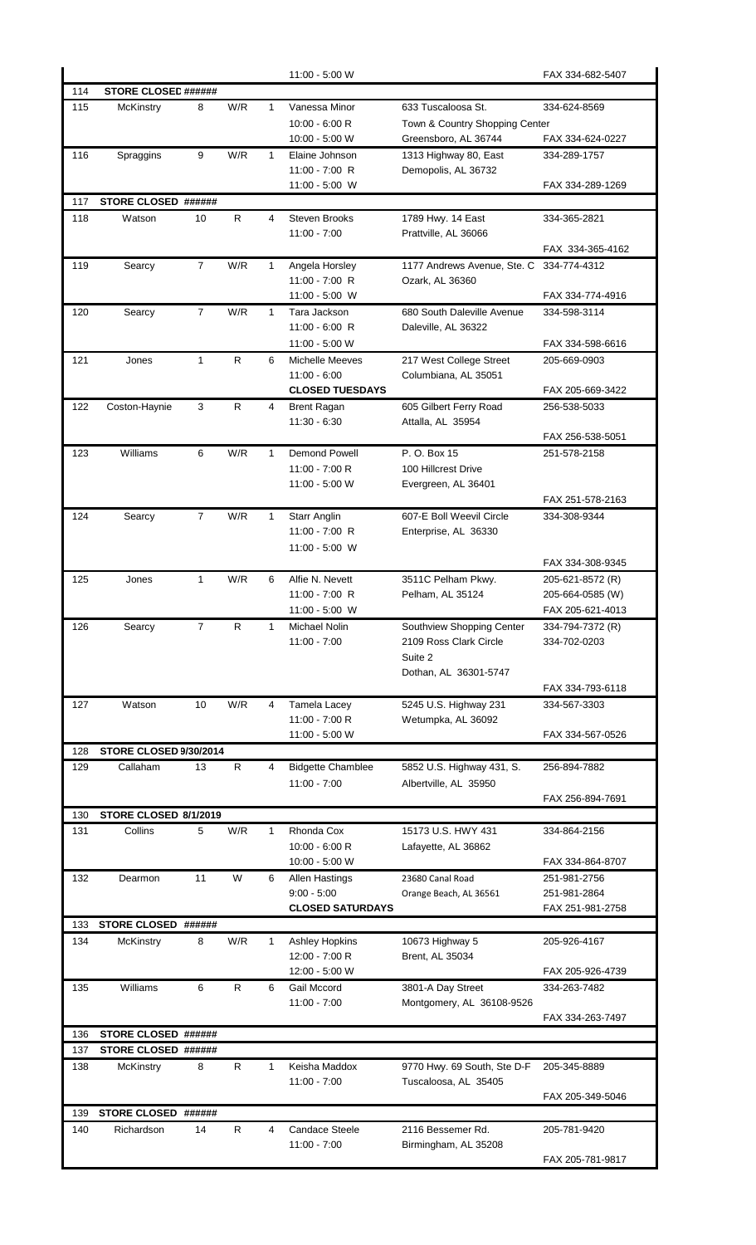|     |                            |                |              |              | 11:00 - 5:00 W                           |                                             | FAX 334-682-5407                 |
|-----|----------------------------|----------------|--------------|--------------|------------------------------------------|---------------------------------------------|----------------------------------|
| 114 | <b>STORE CLOSEL ######</b> |                |              |              |                                          |                                             |                                  |
| 115 | McKinstry                  | 8              | W/R          | $\mathbf{1}$ | Vanessa Minor                            | 633 Tuscaloosa St.                          | 334-624-8569                     |
|     |                            |                |              |              | 10:00 - 6:00 R                           | Town & Country Shopping Center              |                                  |
|     |                            |                |              |              | 10:00 - 5:00 W                           | Greensboro, AL 36744                        | FAX 334-624-0227                 |
| 116 | Spraggins                  | 9              | W/R          | 1            | Elaine Johnson<br>11:00 - 7:00 R         | 1313 Highway 80, East                       | 334-289-1757                     |
|     |                            |                |              |              | 11:00 - 5:00 W                           | Demopolis, AL 36732                         | FAX 334-289-1269                 |
| 117 | STORE CLOSED ######        |                |              |              |                                          |                                             |                                  |
| 118 | Watson                     | 10             | R            | 4            | <b>Steven Brooks</b>                     | 1789 Hwy. 14 East                           | 334-365-2821                     |
|     |                            |                |              |              | $11:00 - 7:00$                           | Prattville, AL 36066                        |                                  |
|     |                            |                |              |              |                                          |                                             | FAX 334-365-4162                 |
| 119 | Searcy                     | $\overline{7}$ | W/R          | $\mathbf 1$  | Angela Horsley                           | 1177 Andrews Avenue, Ste. C                 | 334-774-4312                     |
|     |                            |                |              |              | 11:00 - 7:00 R                           | Ozark, AL 36360                             |                                  |
|     |                            |                |              |              | 11:00 - 5:00 W                           |                                             | FAX 334-774-4916                 |
| 120 | Searcy                     | $\overline{7}$ | W/R          | 1            | Tara Jackson                             | 680 South Daleville Avenue                  | 334-598-3114                     |
|     |                            |                |              |              | 11:00 - 6:00 R                           | Daleville, AL 36322                         |                                  |
|     |                            |                |              |              | 11:00 - 5:00 W                           |                                             | FAX 334-598-6616                 |
| 121 | Jones                      | $\mathbf{1}$   | R            | 6            | <b>Michelle Meeves</b>                   | 217 West College Street                     | 205-669-0903                     |
|     |                            |                |              |              | $11:00 - 6:00$                           | Columbiana, AL 35051                        |                                  |
|     |                            |                |              |              | <b>CLOSED TUESDAYS</b>                   |                                             | FAX 205-669-3422                 |
| 122 | Coston-Haynie              | 3              | R            | 4            | <b>Brent Ragan</b><br>$11:30 - 6:30$     | 605 Gilbert Ferry Road<br>Attalla, AL 35954 | 256-538-5033                     |
|     |                            |                |              |              |                                          |                                             | FAX 256-538-5051                 |
| 123 | Williams                   | 6              | W/R          | 1            | <b>Demond Powell</b>                     | P. O. Box 15                                | 251-578-2158                     |
|     |                            |                |              |              | 11:00 - 7:00 R                           | 100 Hillcrest Drive                         |                                  |
|     |                            |                |              |              | 11:00 - 5:00 W                           | Evergreen, AL 36401                         |                                  |
|     |                            |                |              |              |                                          |                                             | FAX 251-578-2163                 |
| 124 | Searcy                     | $\overline{7}$ | W/R          | $\mathbf{1}$ | <b>Starr Anglin</b>                      | 607-E Boll Weevil Circle                    | 334-308-9344                     |
|     |                            |                |              |              | 11:00 - 7:00 R                           | Enterprise, AL 36330                        |                                  |
|     |                            |                |              |              | 11:00 - 5:00 W                           |                                             |                                  |
|     |                            |                |              |              |                                          |                                             | FAX 334-308-9345                 |
| 125 | Jones                      | 1              | W/R          | 6            | Alfie N. Nevett                          | 3511C Pelham Pkwy.                          | 205-621-8572 (R)                 |
|     |                            |                |              |              | 11:00 - 7:00 R                           | Pelham, AL 35124                            | 205-664-0585 (W)                 |
|     |                            |                |              |              | 11:00 - 5:00 W                           |                                             | FAX 205-621-4013                 |
| 126 | Searcy                     | 7              | R            | 1            | <b>Michael Nolin</b>                     | Southview Shopping Center                   | 334-794-7372 (R)                 |
|     |                            |                |              |              | $11:00 - 7:00$                           | 2109 Ross Clark Circle                      | 334-702-0203                     |
|     |                            |                |              |              |                                          | Suite 2<br>Dothan, AL 36301-5747            |                                  |
|     |                            |                |              |              |                                          |                                             | FAX 334-793-6118                 |
| 127 | Watson                     | 10             | W/R          | 4            | Tamela Lacey                             | 5245 U.S. Highway 231                       | 334-567-3303                     |
|     |                            |                |              |              | 11:00 - 7:00 R                           | Wetumpka, AL 36092                          |                                  |
|     |                            |                |              |              | 11:00 - 5:00 W                           |                                             | FAX 334-567-0526                 |
| 128 | STORE CLOSED 9/30/2014     |                |              |              |                                          |                                             |                                  |
| 129 | Callaham                   | 13             | $\mathsf{R}$ | 4            | <b>Bidgette Chamblee</b>                 | 5852 U.S. Highway 431, S.                   | 256-894-7882                     |
|     |                            |                |              |              | 11:00 - 7:00                             | Albertville, AL 35950                       |                                  |
|     |                            |                |              |              |                                          |                                             | FAX 256-894-7691                 |
| 130 | STORE CLOSED 8/1/2019      |                |              |              |                                          |                                             |                                  |
| 131 | Collins                    | 5              | W/R          | $\mathbf{1}$ | Rhonda Cox                               | 15173 U.S. HWY 431                          | 334-864-2156                     |
|     |                            |                |              |              | 10:00 - 6:00 R                           | Lafayette, AL 36862                         |                                  |
|     |                            |                |              |              | 10:00 - 5:00 W                           |                                             | FAX 334-864-8707                 |
| 132 | Dearmon                    | 11             | W            | 6            | <b>Allen Hastings</b>                    | 23680 Canal Road                            | 251-981-2756                     |
|     |                            |                |              |              | $9:00 - 5:00$<br><b>CLOSED SATURDAYS</b> | Orange Beach, AL 36561                      | 251-981-2864<br>FAX 251-981-2758 |
| 133 | <b>STORE CLOSED</b>        | ######         |              |              |                                          |                                             |                                  |
| 134 | McKinstry                  | 8              | W/R          | 1            | <b>Ashley Hopkins</b>                    | 10673 Highway 5                             | 205-926-4167                     |
|     |                            |                |              |              | 12:00 - 7:00 R                           | Brent, AL 35034                             |                                  |
|     |                            |                |              |              | 12:00 - 5:00 W                           |                                             | FAX 205-926-4739                 |
| 135 | Williams                   | 6              | R            | 6            | Gail Mccord                              | 3801-A Day Street                           | 334-263-7482                     |
|     |                            |                |              |              | 11:00 - 7:00                             | Montgomery, AL 36108-9526                   |                                  |
|     |                            |                |              |              |                                          |                                             | FAX 334-263-7497                 |
| 136 | STORE CLOSED ######        |                |              |              |                                          |                                             |                                  |
| 137 | STORE CLOSED ######        |                |              |              |                                          |                                             |                                  |
| 138 | McKinstry                  | 8              | R            | $\mathbf{1}$ | Keisha Maddox                            | 9770 Hwy. 69 South, Ste D-F                 | 205-345-8889                     |
|     |                            |                |              |              | $11:00 - 7:00$                           | Tuscaloosa, AL 35405                        |                                  |
|     |                            |                |              |              |                                          |                                             | FAX 205-349-5046                 |
| 139 | STORE CLOSED ######        |                |              |              |                                          |                                             |                                  |
| 140 | Richardson                 | 14             | R            | 4            | <b>Candace Steele</b><br>$11:00 - 7:00$  | 2116 Bessemer Rd.<br>Birmingham, AL 35208   | 205-781-9420                     |
|     |                            |                |              |              |                                          |                                             | FAX 205-781-9817                 |
|     |                            |                |              |              |                                          |                                             |                                  |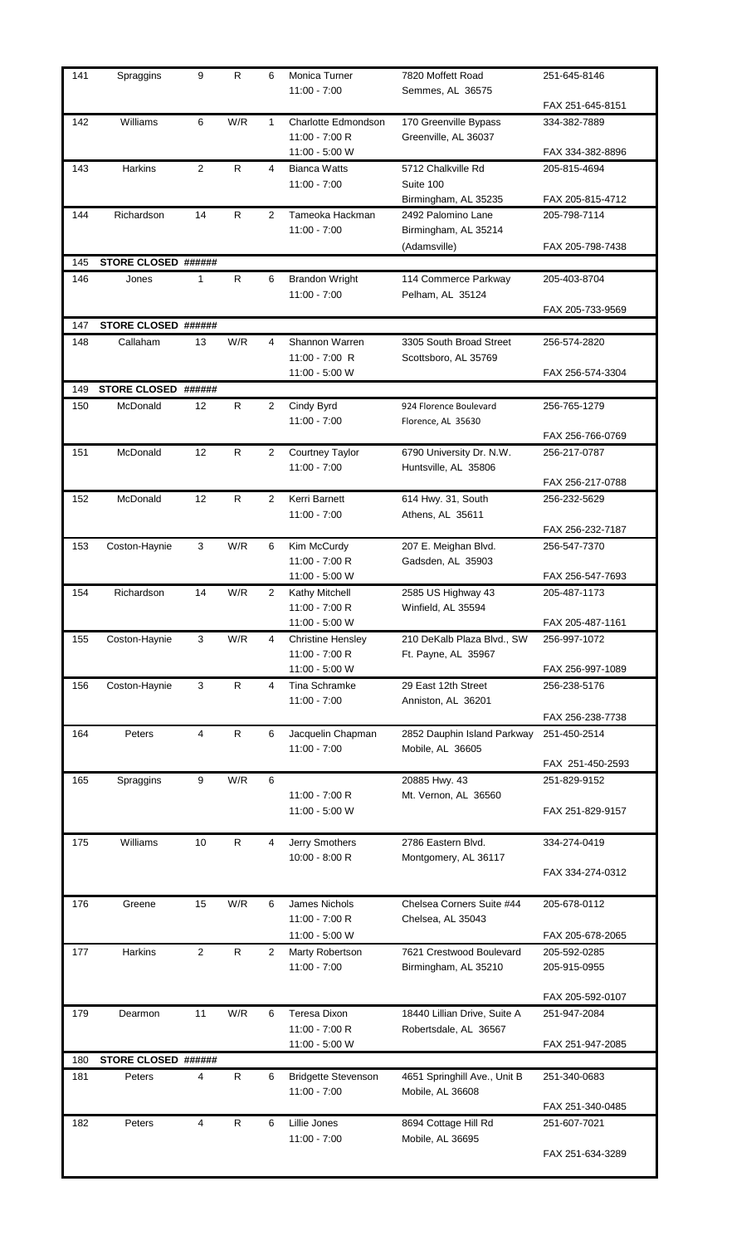| 141 | Spraggins           | 9              | R            | 6 | Monica Turner<br>$11:00 - 7:00$       | 7820 Moffett Road<br>Semmes, AL 36575         | 251-645-8146                     |
|-----|---------------------|----------------|--------------|---|---------------------------------------|-----------------------------------------------|----------------------------------|
|     |                     |                |              |   |                                       |                                               | FAX 251-645-8151                 |
| 142 | Williams            | 6              | W/R          | 1 | Charlotte Edmondson<br>11:00 - 7:00 R | 170 Greenville Bypass<br>Greenville, AL 36037 | 334-382-7889                     |
|     |                     |                |              |   | 11:00 - 5:00 W                        |                                               | FAX 334-382-8896                 |
| 143 | Harkins             | 2              | $\mathsf{R}$ | 4 | <b>Bianca Watts</b><br>$11:00 - 7:00$ | 5712 Chalkville Rd<br>Suite 100               | 205-815-4694<br>FAX 205-815-4712 |
| 144 | Richardson          | 14             | R            | 2 | Tameoka Hackman                       | Birmingham, AL 35235<br>2492 Palomino Lane    | 205-798-7114                     |
|     |                     |                |              |   | $11:00 - 7:00$                        | Birmingham, AL 35214<br>(Adamsville)          | FAX 205-798-7438                 |
| 145 | STORE CLOSED ###### |                |              |   |                                       |                                               |                                  |
| 146 | Jones               | $\mathbf{1}$   | ${\sf R}$    | 6 | <b>Brandon Wright</b>                 | 114 Commerce Parkway                          | 205-403-8704                     |
|     |                     |                |              |   | $11:00 - 7:00$                        | Pelham, AL 35124                              | FAX 205-733-9569                 |
| 147 | STORE CLOSED ###### |                |              |   |                                       |                                               |                                  |
| 148 | Callaham            | 13             | W/R          | 4 | Shannon Warren                        | 3305 South Broad Street                       | 256-574-2820                     |
|     |                     |                |              |   | 11:00 - 7:00 R                        | Scottsboro, AL 35769                          |                                  |
|     |                     |                |              |   | 11:00 - 5:00 W                        |                                               | FAX 256-574-3304                 |
| 149 | STORE CLOSED ###### |                |              |   |                                       |                                               |                                  |
| 150 | McDonald            | 12             | $\mathsf{R}$ | 2 | Cindy Byrd                            | 924 Florence Boulevard                        | 256-765-1279                     |
|     |                     |                |              |   | $11:00 - 7:00$                        | Florence, AL 35630                            | FAX 256-766-0769                 |
| 151 | McDonald            | 12             | R            | 2 | Courtney Taylor                       | 6790 University Dr. N.W.                      | 256-217-0787                     |
|     |                     |                |              |   | $11:00 - 7:00$                        | Huntsville, AL 35806                          | FAX 256-217-0788                 |
| 152 | McDonald            | 12             | R            | 2 | Kerri Barnett                         | 614 Hwy. 31, South                            | 256-232-5629                     |
|     |                     |                |              |   | $11:00 - 7:00$                        | Athens, AL 35611                              |                                  |
|     |                     |                |              |   |                                       |                                               | FAX 256-232-7187                 |
| 153 | Coston-Haynie       | 3              | W/R          | 6 | Kim McCurdy                           | 207 E. Meighan Blvd.                          | 256-547-7370                     |
|     |                     |                |              |   | 11:00 - 7:00 R                        | Gadsden, AL 35903                             |                                  |
|     |                     |                |              |   | 11:00 - 5:00 W                        |                                               | FAX 256-547-7693                 |
| 154 | Richardson          | 14             | W/R          | 2 | Kathy Mitchell                        | 2585 US Highway 43                            | 205-487-1173                     |
|     |                     |                |              |   | 11:00 - 7:00 R                        | Winfield, AL 35594                            |                                  |
|     |                     |                |              |   | 11:00 - 5:00 W                        |                                               | FAX 205-487-1161                 |
| 155 | Coston-Haynie       | 3              | W/R          | 4 | <b>Christine Hensley</b>              | 210 DeKalb Plaza Blvd., SW                    | 256-997-1072                     |
|     |                     |                |              |   | 11:00 - 7:00 R                        | Ft. Payne, AL 35967                           |                                  |
|     |                     |                |              |   | 11:00 - 5:00 W                        |                                               | FAX 256-997-1089                 |
| 156 | Coston-Haynie       | 3              | R            | 4 | Tina Schramke                         | 29 East 12th Street                           | 256-238-5176                     |
|     |                     |                |              |   | $11:00 - 7:00$                        | Anniston, AL 36201                            |                                  |
|     |                     |                |              |   |                                       |                                               | FAX 256-238-7738                 |
| 164 | Peters              | 4              | $\mathsf{R}$ | 6 | Jacquelin Chapman                     | 2852 Dauphin Island Parkway                   | 251-450-2514                     |
|     |                     |                |              |   | $11:00 - 7:00$                        | Mobile, AL 36605                              |                                  |
|     |                     |                |              |   |                                       |                                               | FAX 251-450-2593                 |
| 165 | Spraggins           | 9              | W/R          | 6 |                                       | 20885 Hwy. 43                                 | 251-829-9152                     |
|     |                     |                |              |   | 11:00 - 7:00 R                        | Mt. Vernon, AL 36560                          |                                  |
|     |                     |                |              |   | 11:00 - 5:00 W                        |                                               | FAX 251-829-9157                 |
|     |                     |                |              |   |                                       |                                               |                                  |
| 175 | Williams            | 10             | R            | 4 | Jerry Smothers                        | 2786 Eastern Blvd.                            | 334-274-0419                     |
|     |                     |                |              |   | 10:00 - 8:00 R                        | Montgomery, AL 36117                          |                                  |
|     |                     |                |              |   |                                       |                                               | FAX 334-274-0312                 |
|     |                     |                |              |   |                                       |                                               |                                  |
| 176 | Greene              | 15             | W/R          | 6 | James Nichols                         | Chelsea Corners Suite #44                     | 205-678-0112                     |
|     |                     |                |              |   | 11:00 - 7:00 R                        | Chelsea, AL 35043                             |                                  |
|     |                     |                |              |   | 11:00 - 5:00 W                        |                                               | FAX 205-678-2065                 |
| 177 | Harkins             | 2              | R            | 2 |                                       | 7621 Crestwood Boulevard                      | 205-592-0285                     |
|     |                     |                |              |   | Marty Robertson<br>$11:00 - 7:00$     | Birmingham, AL 35210                          | 205-915-0955                     |
|     |                     |                |              |   |                                       |                                               |                                  |
|     |                     |                |              |   |                                       |                                               | FAX 205-592-0107                 |
| 179 | Dearmon             | 11             | W/R          | 6 | Teresa Dixon                          | 18440 Lillian Drive, Suite A                  | 251-947-2084                     |
|     |                     |                |              |   | 11:00 - 7:00 R                        | Robertsdale, AL 36567                         |                                  |
|     |                     |                |              |   | 11:00 - 5:00 W                        |                                               | FAX 251-947-2085                 |
| 180 | STORE CLOSED ###### |                |              |   |                                       |                                               |                                  |
| 181 | Peters              | 4              | R            | 6 | <b>Bridgette Stevenson</b>            | 4651 Springhill Ave., Unit B                  | 251-340-0683                     |
|     |                     |                |              |   | $11:00 - 7:00$                        | Mobile, AL 36608                              |                                  |
|     |                     |                |              |   |                                       |                                               | FAX 251-340-0485                 |
| 182 | Peters              | $\overline{4}$ | R            | 6 | Lillie Jones                          | 8694 Cottage Hill Rd                          | 251-607-7021                     |
|     |                     |                |              |   | $11:00 - 7:00$                        | Mobile, AL 36695                              |                                  |
|     |                     |                |              |   |                                       |                                               | FAX 251-634-3289                 |
|     |                     |                |              |   |                                       |                                               |                                  |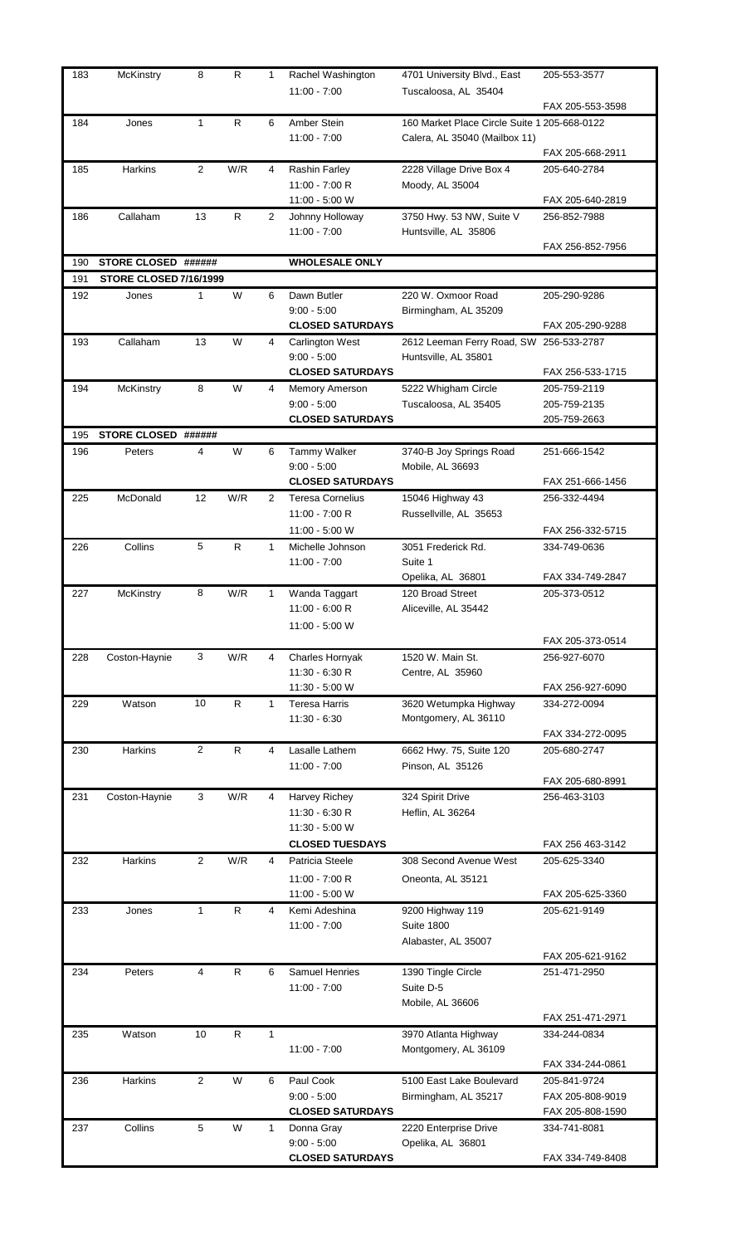| 183 | McKinstry              | 8            | R            | 1 | Rachel Washington<br>$11:00 - 7:00$      | 4701 University Blvd., East<br>Tuscaloosa, AL 35404                           | 205-553-3577                     |
|-----|------------------------|--------------|--------------|---|------------------------------------------|-------------------------------------------------------------------------------|----------------------------------|
|     |                        |              |              |   |                                          |                                                                               | FAX 205-553-3598                 |
| 184 | Jones                  | $\mathbf{1}$ | R            | 6 | Amber Stein<br>$11:00 - 7:00$            | 160 Market Place Circle Suite 1 205-668-0122<br>Calera, AL 35040 (Mailbox 11) |                                  |
|     |                        |              |              |   |                                          |                                                                               | FAX 205-668-2911                 |
| 185 | Harkins                | 2            | W/R          | 4 | Rashin Farley<br>11:00 - 7:00 R          | 2228 Village Drive Box 4<br>Moody, AL 35004                                   | 205-640-2784                     |
|     | Callaham               | 13           | R            |   | 11:00 - 5:00 W                           | 3750 Hwy. 53 NW, Suite V                                                      | FAX 205-640-2819                 |
| 186 |                        |              |              | 2 | Johnny Holloway<br>$11:00 - 7:00$        | Huntsville, AL 35806                                                          | 256-852-7988<br>FAX 256-852-7956 |
| 190 | STORE CLOSED ######    |              |              |   | <b>WHOLESALE ONLY</b>                    |                                                                               |                                  |
| 191 | STORE CLOSED 7/16/1999 |              |              |   |                                          |                                                                               |                                  |
| 192 | Jones                  | $\mathbf{1}$ | W            | 6 | Dawn Butler                              | 220 W. Oxmoor Road                                                            | 205-290-9286                     |
|     |                        |              |              |   | $9:00 - 5:00$<br><b>CLOSED SATURDAYS</b> | Birmingham, AL 35209                                                          | FAX 205-290-9288                 |
| 193 | Callaham               | 13           | W            | 4 | <b>Carlington West</b>                   | 2612 Leeman Ferry Road, SW 256-533-2787                                       |                                  |
|     |                        |              |              |   | $9:00 - 5:00$                            | Huntsville, AL 35801                                                          |                                  |
|     |                        |              |              |   | <b>CLOSED SATURDAYS</b>                  |                                                                               | FAX 256-533-1715                 |
| 194 | McKinstry              | 8            | W            | 4 | Memory Amerson                           | 5222 Whigham Circle                                                           | 205-759-2119                     |
|     |                        |              |              |   | $9:00 - 5:00$                            | Tuscaloosa, AL 35405                                                          | 205-759-2135                     |
|     |                        |              |              |   | <b>CLOSED SATURDAYS</b>                  |                                                                               | 205-759-2663                     |
| 195 | <b>STORE CLOSED</b>    | ######       |              |   |                                          |                                                                               |                                  |
| 196 | Peters                 | 4            | W            | 6 | Tammy Walker                             | 3740-B Joy Springs Road                                                       | 251-666-1542                     |
|     |                        |              |              |   | $9:00 - 5:00$<br><b>CLOSED SATURDAYS</b> | Mobile, AL 36693                                                              | FAX 251-666-1456                 |
| 225 | McDonald               | 12           | W/R          | 2 | <b>Teresa Cornelius</b>                  | 15046 Highway 43                                                              | 256-332-4494                     |
|     |                        |              |              |   | 11:00 - 7:00 R                           | Russellville, AL 35653                                                        |                                  |
|     |                        |              |              |   | 11:00 - 5:00 W                           |                                                                               | FAX 256-332-5715                 |
| 226 | Collins                | 5            | R            | 1 | Michelle Johnson                         | 3051 Frederick Rd.                                                            | 334-749-0636                     |
|     |                        |              |              |   | $11:00 - 7:00$                           | Suite 1                                                                       |                                  |
|     |                        |              |              |   |                                          | Opelika, AL 36801                                                             | FAX 334-749-2847                 |
| 227 | McKinstry              | 8            | W/R          | 1 | Wanda Taggart                            | 120 Broad Street                                                              | 205-373-0512                     |
|     |                        |              |              |   | 11:00 - 6:00 R                           | Aliceville, AL 35442                                                          |                                  |
|     |                        |              |              |   | 11:00 - 5:00 W                           |                                                                               |                                  |
|     |                        | 3            |              |   |                                          |                                                                               | FAX 205-373-0514                 |
| 228 | Coston-Haynie          |              | W/R          | 4 | Charles Hornyak<br>11:30 - 6:30 R        | 1520 W. Main St.<br>Centre, AL 35960                                          | 256-927-6070                     |
|     |                        |              |              |   | 11:30 - 5:00 W                           |                                                                               | FAX 256-927-6090                 |
| 229 | Watson                 | 10           | $\mathsf{R}$ | 1 | <b>Teresa Harris</b>                     | 3620 Wetumpka Highway                                                         | 334-272-0094                     |
|     |                        |              |              |   | $11:30 - 6:30$                           | Montgomery, AL 36110                                                          |                                  |
|     |                        |              |              |   |                                          |                                                                               | FAX 334-272-0095                 |
| 230 | <b>Harkins</b>         | $\mathbf{2}$ | R.           | 4 | Lasalle Lathem                           | 6662 Hwy. 75, Suite 120                                                       | 205-680-2747                     |
|     |                        |              |              |   | $11:00 - 7:00$                           | Pinson, AL 35126                                                              |                                  |
|     |                        | 3            |              |   |                                          |                                                                               | FAX 205-680-8991                 |
| 231 | Coston-Haynie          |              | W/R          | 4 | Harvey Richey<br>11:30 - 6:30 R          | 324 Spirit Drive<br>Heflin, AL 36264                                          | 256-463-3103                     |
|     |                        |              |              |   | 11:30 - 5:00 W                           |                                                                               |                                  |
|     |                        |              |              |   | <b>CLOSED TUESDAYS</b>                   |                                                                               | FAX 256 463-3142                 |
| 232 | Harkins                | 2            | W/R          | 4 | Patricia Steele                          | 308 Second Avenue West                                                        | 205-625-3340                     |
|     |                        |              |              |   | 11:00 - 7:00 R                           | Oneonta, AL 35121                                                             |                                  |
|     |                        |              |              |   | 11:00 - 5:00 W                           |                                                                               | FAX 205-625-3360                 |
| 233 | Jones                  | $\mathbf{1}$ | R.           | 4 | Kemi Adeshina                            | 9200 Highway 119                                                              | 205-621-9149                     |
|     |                        |              |              |   | $11:00 - 7:00$                           | <b>Suite 1800</b>                                                             |                                  |
|     |                        |              |              |   |                                          | Alabaster, AL 35007                                                           |                                  |
|     |                        |              |              |   |                                          |                                                                               | FAX 205-621-9162                 |
| 234 | Peters                 | 4            | R            | 6 | <b>Samuel Henries</b><br>$11:00 - 7:00$  | 1390 Tingle Circle<br>Suite D-5                                               | 251-471-2950                     |
|     |                        |              |              |   |                                          | Mobile, AL 36606                                                              |                                  |
|     |                        |              |              |   |                                          |                                                                               | FAX 251-471-2971                 |
| 235 | Watson                 | 10           | R            | 1 |                                          | 3970 Atlanta Highway                                                          | 334-244-0834                     |
|     |                        |              |              |   | $11:00 - 7:00$                           | Montgomery, AL 36109                                                          |                                  |
|     |                        |              |              |   |                                          |                                                                               | FAX 334-244-0861                 |
| 236 | Harkins                | 2            | W            | 6 | Paul Cook                                | 5100 East Lake Boulevard                                                      | 205-841-9724                     |
|     |                        |              |              |   | $9:00 - 5:00$                            | Birmingham, AL 35217                                                          | FAX 205-808-9019                 |
|     |                        |              |              |   | <b>CLOSED SATURDAYS</b>                  |                                                                               | FAX 205-808-1590                 |
| 237 | Collins                | 5            | W            | 1 | Donna Gray<br>$9:00 - 5:00$              | 2220 Enterprise Drive<br>Opelika, AL 36801                                    | 334-741-8081                     |
|     |                        |              |              |   | <b>CLOSED SATURDAYS</b>                  |                                                                               | FAX 334-749-8408                 |
|     |                        |              |              |   |                                          |                                                                               |                                  |